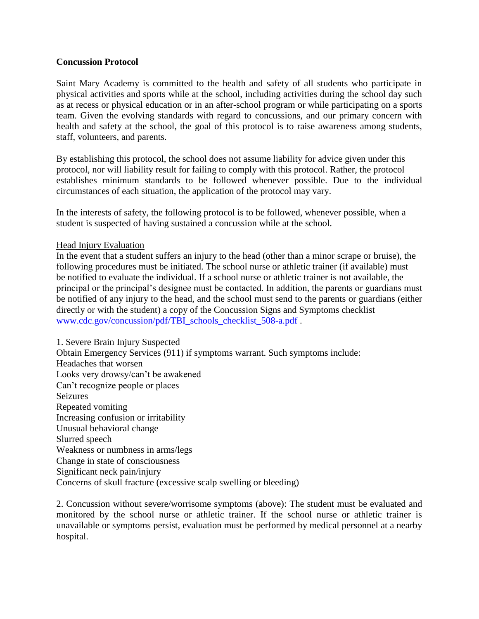### **Concussion Protocol**

Saint Mary Academy is committed to the health and safety of all students who participate in physical activities and sports while at the school, including activities during the school day such as at recess or physical education or in an after-school program or while participating on a sports team. Given the evolving standards with regard to concussions, and our primary concern with health and safety at the school, the goal of this protocol is to raise awareness among students, staff, volunteers, and parents.

By establishing this protocol, the school does not assume liability for advice given under this protocol, nor will liability result for failing to comply with this protocol. Rather, the protocol establishes minimum standards to be followed whenever possible. Due to the individual circumstances of each situation, the application of the protocol may vary.

In the interests of safety, the following protocol is to be followed, whenever possible, when a student is suspected of having sustained a concussion while at the school.

# Head Injury Evaluation

In the event that a student suffers an injury to the head (other than a minor scrape or bruise), the following procedures must be initiated. The school nurse or athletic trainer (if available) must be notified to evaluate the individual. If a school nurse or athletic trainer is not available, the principal or the principal's designee must be contacted. In addition, the parents or guardians must be notified of any injury to the head, and the school must send to the parents or guardians (either directly or with the student) a copy of the Concussion Signs and Symptoms checklist www.cdc.gov/concussion/pdf/TBI\_schools\_checklist\_508-a.pdf .

1. Severe Brain Injury Suspected Obtain Emergency Services (911) if symptoms warrant. Such symptoms include: Headaches that worsen Looks very drowsy/can't be awakened Can't recognize people or places Seizures Repeated vomiting Increasing confusion or irritability Unusual behavioral change Slurred speech Weakness or numbness in arms/legs Change in state of consciousness Significant neck pain/injury Concerns of skull fracture (excessive scalp swelling or bleeding)

2. Concussion without severe/worrisome symptoms (above): The student must be evaluated and monitored by the school nurse or athletic trainer. If the school nurse or athletic trainer is unavailable or symptoms persist, evaluation must be performed by medical personnel at a nearby hospital.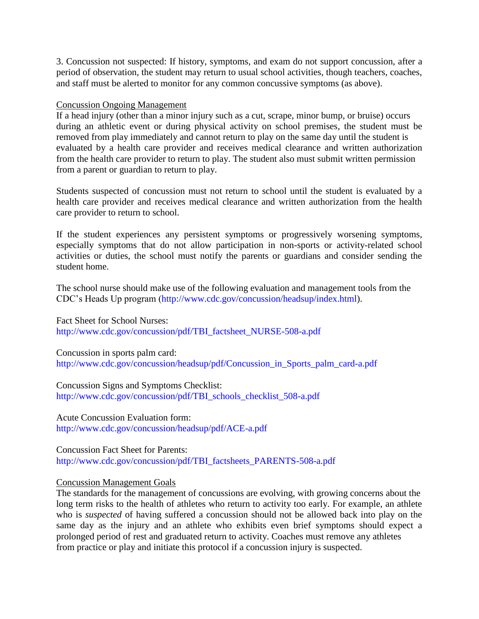3. Concussion not suspected: If history, symptoms, and exam do not support concussion, after a period of observation, the student may return to usual school activities, though teachers, coaches, and staff must be alerted to monitor for any common concussive symptoms (as above).

### Concussion Ongoing Management

If a head injury (other than a minor injury such as a cut, scrape, minor bump, or bruise) occurs during an athletic event or during physical activity on school premises, the student must be removed from play immediately and cannot return to play on the same day until the student is evaluated by a health care provider and receives medical clearance and written authorization from the health care provider to return to play. The student also must submit written permission from a parent or guardian to return to play.

Students suspected of concussion must not return to school until the student is evaluated by a health care provider and receives medical clearance and written authorization from the health care provider to return to school.

If the student experiences any persistent symptoms or progressively worsening symptoms, especially symptoms that do not allow participation in non-sports or activity-related school activities or duties, the school must notify the parents or guardians and consider sending the student home.

The school nurse should make use of the following evaluation and management tools from the CDC's Heads Up program (http://www.cdc.gov/concussion/headsup/index.html).

Fact Sheet for School Nurses: http://www.cdc.gov/concussion/pdf/TBI\_factsheet\_NURSE-508-a.pdf

Concussion in sports palm card: http://www.cdc.gov/concussion/headsup/pdf/Concussion\_in\_Sports\_palm\_card-a.pdf

Concussion Signs and Symptoms Checklist: http://www.cdc.gov/concussion/pdf/TBI\_schools\_checklist\_508-a.pdf

Acute Concussion Evaluation form: http://www.cdc.gov/concussion/headsup/pdf/ACE-a.pdf

Concussion Fact Sheet for Parents: http://www.cdc.gov/concussion/pdf/TBI\_factsheets\_PARENTS-508-a.pdf

# Concussion Management Goals

The standards for the management of concussions are evolving, with growing concerns about the long term risks to the health of athletes who return to activity too early. For example, an athlete who is *suspected* of having suffered a concussion should not be allowed back into play on the same day as the injury and an athlete who exhibits even brief symptoms should expect a prolonged period of rest and graduated return to activity. Coaches must remove any athletes from practice or play and initiate this protocol if a concussion injury is suspected.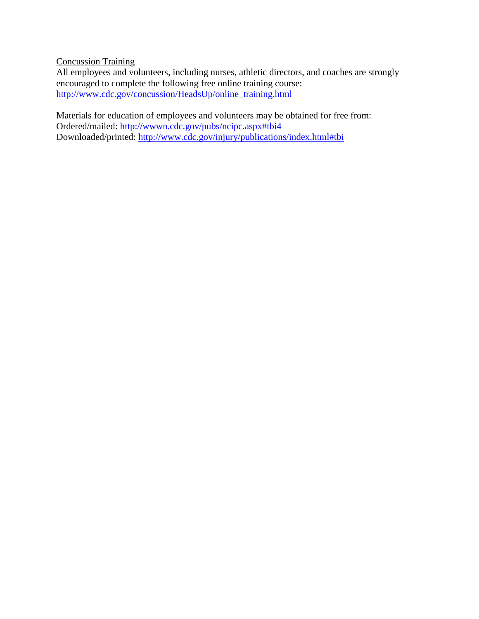Concussion Training

All employees and volunteers, including nurses, athletic directors, and coaches are strongly encouraged to complete the following free online training course: http://www.cdc.gov/concussion/HeadsUp/online\_training.html

Materials for education of employees and volunteers may be obtained for free from: Ordered/mailed: http://wwwn.cdc.gov/pubs/ncipc.aspx#tbi4 Downloaded/printed:<http://www.cdc.gov/injury/publications/index.html#tbi>